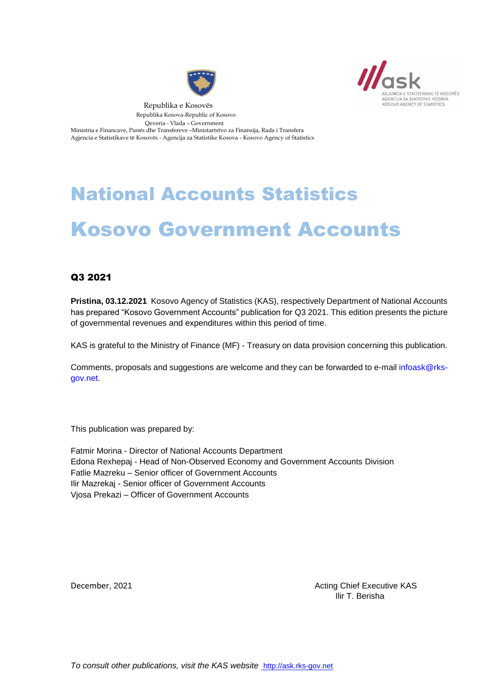



 Republika e Kosovës Republika Kosova-Republic of Kosovo Qeveria - Vlada – Government Ministria e Financave, Punës dhe Transfereve –Ministartstvo za Finansija, Rada i Transfera Agjencia e Statistikave të Kosovës - Agencija za Statistike Kosova - Kosovo Agency of Statistics

# National Accounts Statistics Kosovo Government Accounts

#### Q3 2021

**Pristina, 03.12.2021** Kosovo Agency of Statistics (KAS), respectively Department of National Accounts has prepared "Kosovo Government Accounts" publication for Q3 2021. This edition presents the picture of governmental revenues and expenditures within this period of time.

KAS is grateful to the Ministry of Finance (MF) - Treasury on data provision concerning this publication.

Comments, proposals and suggestions are welcome and they can be forwarded to e-mail [infoask@rks](mailto:infoask@rks-gov.net)[gov.net.](mailto:infoask@rks-gov.net)

This publication was prepared by:

Fatmir Morina - Director of National Accounts Department Edona Rexhepaj - Head of Non-Observed Economy and Government Accounts Division Fatlie Mazreku – Senior officer of Government Accounts Ilir Mazrekaj - Senior officer of Government Accounts Vjosa Prekazi – Officer of Government Accounts

December, 2021 **Acting Chief Executive KAS December, 2021** Ilir T. Berisha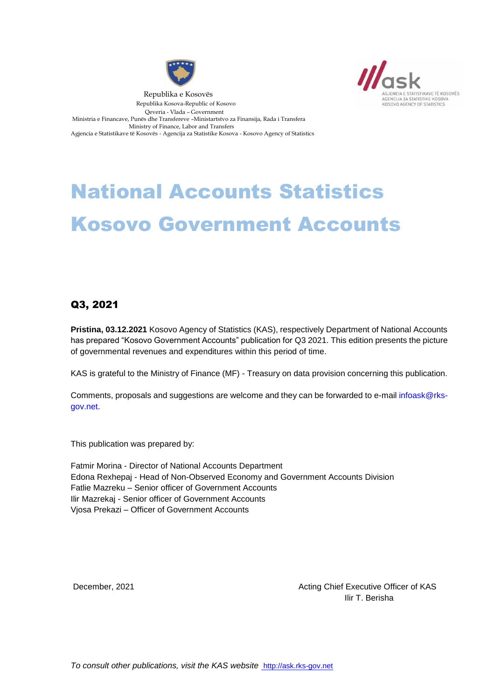



 Republika e Kosovës Republika Kosova-Republic of Kosovo Qeveria - Vlada – Government Ministria e Financave, Punës dhe Transfereve –Ministartstvo za Finansija, Rada i Transfera Ministry of Finance, Labor and Transfers Agjencia e Statistikave të Kosovës - Agencija za Statistike Kosova - Kosovo Agency of Statistics

# National Accounts Statistics Kosovo Government Accounts

## Q3, 2021

**Pristina, 03.12.2021** Kosovo Agency of Statistics (KAS), respectively Department of National Accounts has prepared "Kosovo Government Accounts" publication for Q3 2021. This edition presents the picture of governmental revenues and expenditures within this period of time.

KAS is grateful to the Ministry of Finance (MF) - Treasury on data provision concerning this publication.

Comments, proposals and suggestions are welcome and they can be forwarded to e-mail [infoask@rks](mailto:infoask@rks-gov.net)[gov.net.](mailto:infoask@rks-gov.net)

This publication was prepared by:

Fatmir Morina - Director of National Accounts Department Edona Rexhepaj - Head of Non-Observed Economy and Government Accounts Division Fatlie Mazreku – Senior officer of Government Accounts Ilir Mazrekaj - Senior officer of Government Accounts Vjosa Prekazi – Officer of Government Accounts

December, 2021 **December**, 2021 Ilir T. Berisha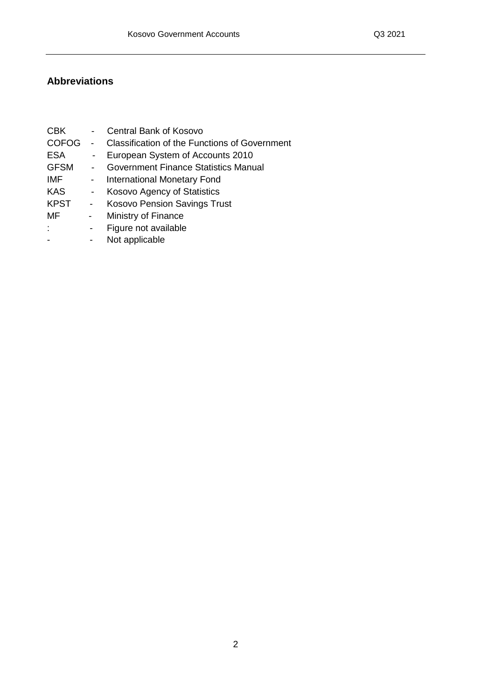## **Abbreviations**

| <b>Classification of the Functions of Government</b> |
|------------------------------------------------------|
|                                                      |
|                                                      |
|                                                      |
|                                                      |
|                                                      |
|                                                      |
|                                                      |
|                                                      |
|                                                      |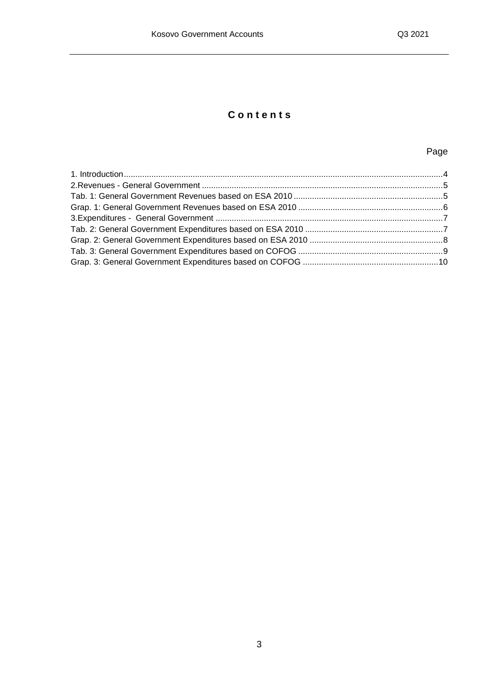# **C o n t e n t s**

### Page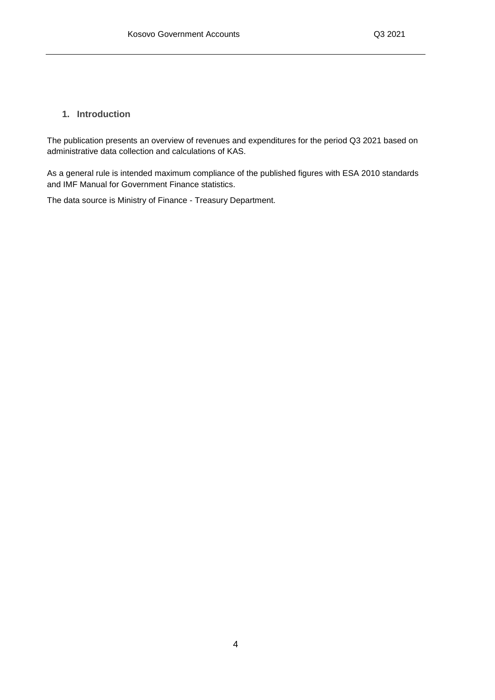#### <span id="page-4-0"></span>**1. Introduction**

The publication presents an overview of revenues and expenditures for the period Q3 2021 based on administrative data collection and calculations of KAS.

As a general rule is intended maximum compliance of the published figures with ESA 2010 standards and IMF Manual for Government Finance statistics.

The data source is Ministry of Finance - Treasury Department.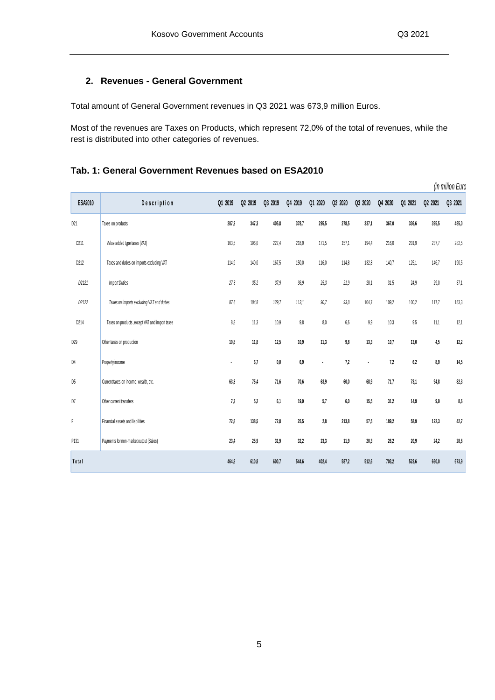#### <span id="page-5-0"></span>**2. Revenues - General Government**

Total amount of General Government revenues in Q3 2021 was 673,9 million Euros.

Most of the revenues are Taxes on Products, which represent 72,0% of the total of revenues, while the rest is distributed into other categories of revenues.

# *(in milion Euro)* **ESA2010 D e s c r i p t i o n Q1\_2019 Q2\_2019 Q3\_2019 Q4\_2019 Q1\_2020 Q2\_2020 Q3\_2020 Q4\_2020 Q1\_2021 Q2\_2021 Q3\_2021** D21 Taxes on products **287,2 347,3 405,8 378,7 295,5 278,5 337,1 367,0 336,6 395,5 485,0** D211 Value added type taxes (VAT) 163,5 196,0 227,4 218,9 171,5 157,1 194,4 216,0 201,9 237,7 282,5 D212 Taxes and duties on imports excluding VAT 114,9 140,0 167,5 150,0 116,0 114,8 132,8 140,7 125,1 146,7 190,5 *D2121 Import Duties 27,3 35,2 37,9 36,9 25,3 21,9* 28,1 31,5 24,9 29,0 37,1 *D2122 Taxes on imports excluding VAT and duties 87,6 104,8 129,7 113,1 90,7 93,0* 104,7 109,2 100,2 117,7 153,3 D214 Taxes on products, except VAT and import taxes 8,8 11,3 10,9 9,8 8,0 6,6 9,9 10,3 9,5 11,1 12,1 D29 Other taxes on production **10,8 11,8 12,5 10,9 11,3 9,8 13,3 10,7 13,0 4,5 12,2** D 4 Property income **- 6,7 0,0 6,9 - 7,2 - 7,2 6,2 8,9 14,5** D 5 Current taxes on income, wealth, etc. **63,3 75,4 71,6 70,6 63,9 60,0 68,9 71,7 73,1 94,8 82,3** D 7 Other current transfers **7,3 5,2 6,1 19,9 5,7 6,0 15,5 31,2 14,9 9,9 8,6** F Financial assets and liabilities **72,8 138,5 72,8 25,5 2,8 213,8 57,5 189,2 58,9 122,3 42,7** P131 Payments for non-market output (Sales) **23,4 25,9 31,9 32,2 23,3 11,9 20,3 26,2 20,9 24,2 28,6**

**T o t a l 464,8 610,8 600,7 544,6 402,4 587,2 512,6 703,2 523,6 660,0 673,9**

#### <span id="page-5-1"></span>**Tab. 1: General Government Revenues based on ESA2010**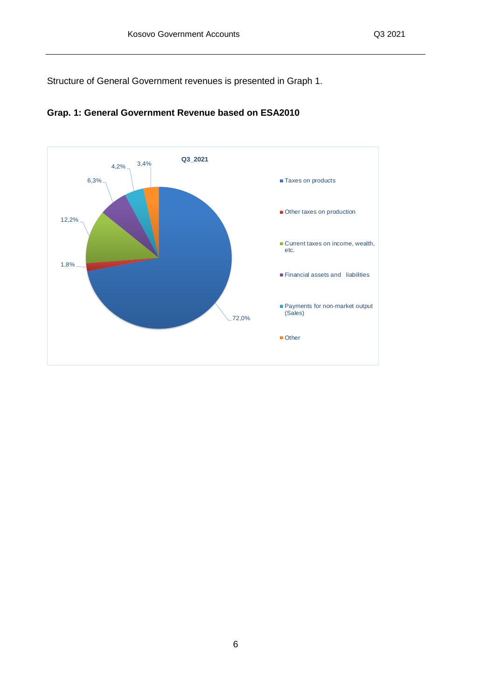<span id="page-6-0"></span>Structure of General Government revenues is presented in Graph 1.



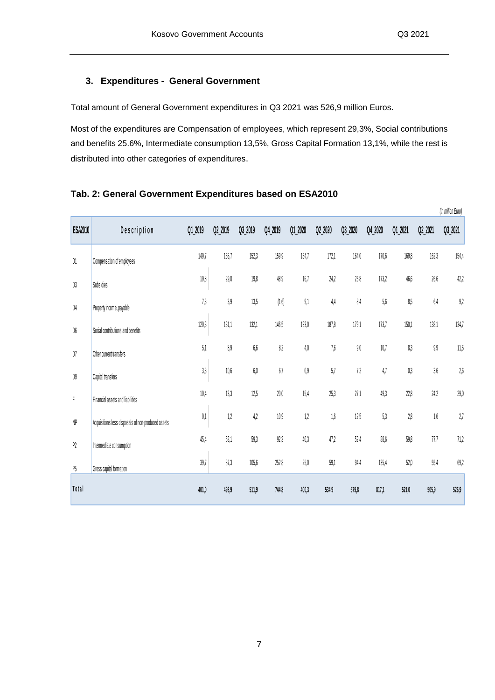*(in milion Euro)*

#### <span id="page-7-0"></span>**3. Expenditures - General Government**

Total amount of General Government expenditures in Q3 2021 was 526,9 million Euros.

Most of the expenditures are Compensation of employees, which represent 29,3%, Social contributions and benefits 25.6%, Intermediate consumption 13,5%, Gross Capital Formation 13,1%, while the rest is distributed into other categories of expenditures.

| <b>ESA2010</b> | Description                                        | Q1_2019        | Q2_2019  | Q3_2019 | Q4_2019 | Q1_2020 | Q2_2020 | Q3_2020 | Q4_2020 | Q1_2021 | Q2_2021 | (III IIIIIIOII EUIO)<br>Q3_2021 |
|----------------|----------------------------------------------------|----------------|----------|---------|---------|---------|---------|---------|---------|---------|---------|---------------------------------|
| D1             | Compensation of employees                          | 149,7          | 155,7    | 152,3   | 159,9   | 154,7   | 172,1   | 164,0   | 170,6   | 169,8   | 162,3   | 154,4                           |
| D3             | Subsidies                                          | 19,8           | 29,0     | 19,8    | 48,9    | 16,7    | 24,2    | 25,8    | 173,2   | 46,6    | 26,6    | 42,2                            |
| D4             | Property income, payable                           | 7 <sub>3</sub> | 3,9      | 13,5    | (1, 6)  | 9,1     | $4,4$   | 8,4     | $5{,}6$ | 8,5     | $6,4$   | $9,2$                           |
| D6             | Social contributions and benefits                  | 120,3          | 131,1    | 132,1   | 146,5   | 133,0   | 187,8   | 179,1   | 173,7   | 150,1   | 138,1   | 134,7                           |
| D7             | Other current transfers                            | 5,1            | 8,9      | $6,\!6$ | 8,2     | 4,0     | 7,6     | $9,\!0$ | 10,7    | 8,3     | 9,9     | 11,5                            |
| D9             | Capital transfers                                  | 3,3            | $10,\!6$ | $6,\!0$ | 6,7     | 0,9     | $5,7$   | 7,2     | 4,7     | $0,\!3$ | 3,6     | $2{,}6$                         |
| F              | Financial assets and liabilities                   | 10,4           | 13,3     | 12,5    | $20,0$  | 15,4    | 25,3    | 27,1    | 49,3    | 22,8    | 24,2    | $29,0$                          |
| NP             | Acquisitions less disposals of non-produced assets | 0,1            | 1,2      | 4,2     | 10,9    | 1,2     | 1,6     | 12,5    | 5,3     | $2,8$   | 1,6     | 2,7                             |
| P2             | Intermediate consumption                           | 45,4           | 53,1     | 59,3    | 92,3    | 40,3    | 47,2    | 52,4    | 88,6    | 59,8    | 77,7    | 71,2                            |
| P5             | Gross capital formation                            | 39,7           | 87,3     | 105,6   | 252,8   | 25,0    | 59,1    | 94,4    | 135,4   | $52,0$  | 55,4    | 69,2                            |
| Total          |                                                    | 401,0          | 493,9    | 511,9   | 744,8   | 400,3   | 534,9   | 579,8   | 817,1   | 521,0   | 505,9   | 526,9                           |

#### <span id="page-7-1"></span>**Tab. 2: General Government Expenditures based on ESA2010**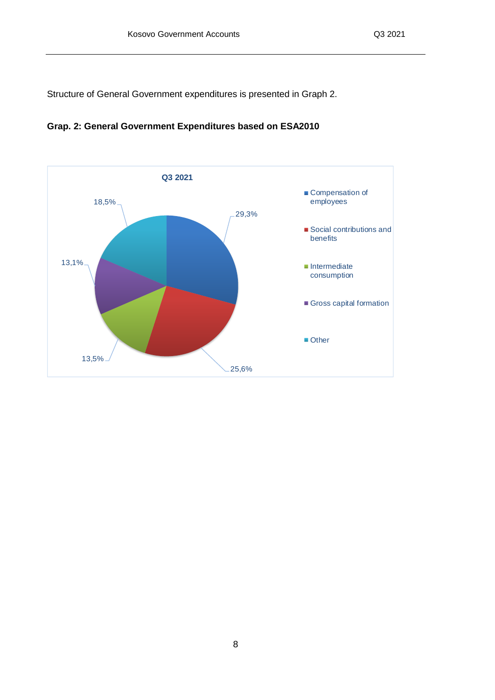<span id="page-8-0"></span>Structure of General Government expenditures is presented in Graph 2.



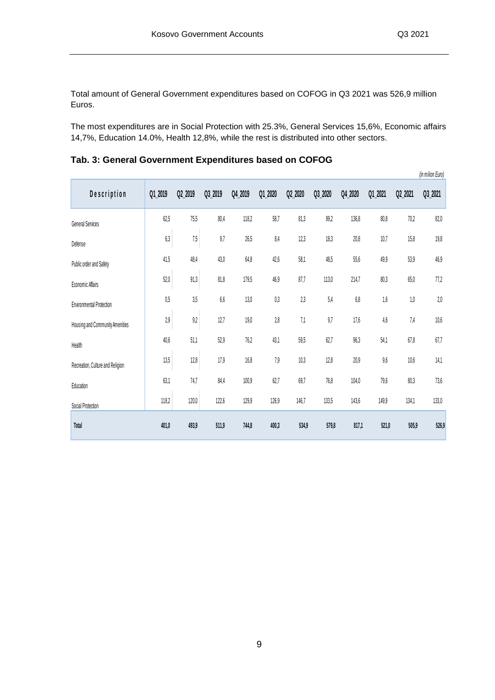Total amount of General Government expenditures based on COFOG in Q3 2021 was 526,9 million Euros.

<span id="page-9-0"></span>The most expenditures are in Social Protection with 25.3%, General Services 15,6%, Economic affairs 14,7%, Education 14.0%, Health 12,8%, while the rest is distributed into other sectors.

| Description                      | Q1_2019 | Q2_2019 | Q3_2019 | Q4_2019 | Q1_2020 | Q2_2020  | Q3_2020 | Q4_2020 | Q1_2021 | Q2_2021  | (in milion Euro)<br>Q3_2021 |
|----------------------------------|---------|---------|---------|---------|---------|----------|---------|---------|---------|----------|-----------------------------|
| <b>General Services</b>          | 62,5    | 75,5    | 80,4    | 118,2   | 58,7    | 81,3     | 99,2    | 136,8   | 80,8    | 70,2     | 82,0                        |
| Defense                          | 6,3     | 7,5     | 9,7     | 26,5    | 8,4     | 12,3     | 18,3    | 20,8    | 10,7    | 15,8     | 19,8                        |
| Public order and Safety          | 41,5    | 48,4    | 43,0    | $64,8$  | 42,6    | 58,1     | 48,5    | 55,6    | 49,9    | 53,9     | 46,9                        |
| Economic Affairs                 | $52,0$  | 91,3    | 81,8    | 179,5   | 46,9    | 87,7     | 113,0   | 214,7   | 80,3    | $65,\!0$ | 77,2                        |
| <b>Environmental Protection</b>  | 0,5     | 3,5     | $6,\!6$ | 13,0    | 0,3     | 2,3      | 5,4     | 6,8     | 1,6     | $1,\!0$  | 2,0                         |
| Housing and Community Amenities  | 2,9     | $9,2$   | 12,7    | 19,0    | 2,8     | 7,1      | 9,7     | 17,6    | 4,6     | 7,4      | 10,6                        |
| Health                           | 40,6    | 51,1    | 52,9    | 76,2    | 43,1    | $59{,}5$ | 62,7    | 96,3    | 54,1    | $67,\!8$ | 67,7                        |
| Recreation, Culture and Religion | 13,5    | 12,8    | 17,9    | 16,8    | 7,9     | 10,3     | 12,8    | 20,9    | 9,6     | 10,6     | 14,1                        |
| Education                        | 63,1    | 74,7    | 84,4    | 100,9   | 62,7    | 69,7     | 76,8    | 104,0   | 79,6    | 80,3     | 73,6                        |
| Social Protection                | 118,2   | 120,0   | 122,6   | 129,9   | 126,9   | 146,7    | 133,5   | 143,6   | 149,9   | 134,1    | 133,0                       |
| Total                            | 401,0   | 493,9   | 511,9   | 744,8   | 400,3   | 534,9    | 579,8   | 817,1   | 521,0   | 505,9    | 526,9                       |

**Tab. 3: General Government Expenditures based on COFOG**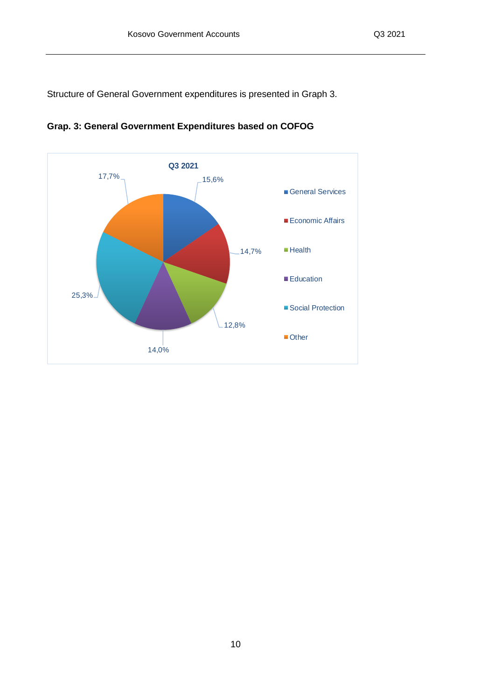<span id="page-10-0"></span>Structure of General Government expenditures is presented in Graph 3.



**Grap. 3: General Government Expenditures based on COFOG**